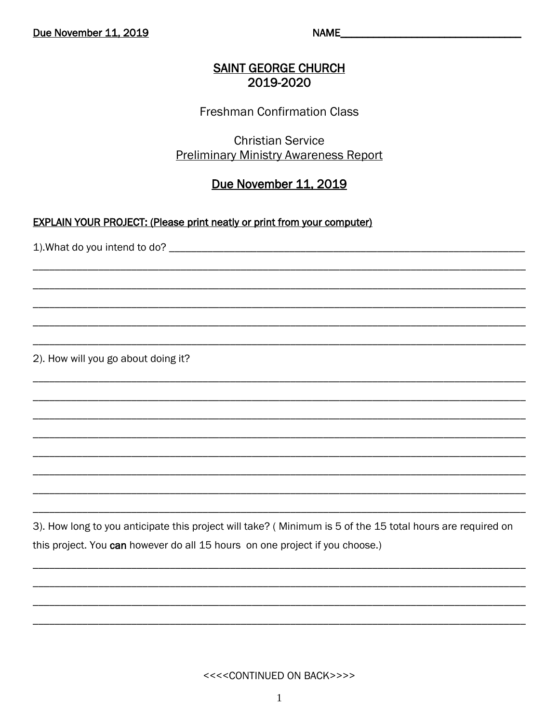NAME

### **SAINT GEORGE CHURCH** 2019-2020

### **Freshman Confirmation Class**

# **Christian Service Preliminary Ministry Awareness Report**

# Due November 11, 2019

#### **EXPLAIN YOUR PROJECT: (Please print neatly or print from your computer)**

2). How will you go about doing it?

3). How long to you anticipate this project will take? (Minimum is 5 of the 15 total hours are required on this project. You can however do all 15 hours on one project if you choose.)

<<<<CONTINUED ON BACK>>>>